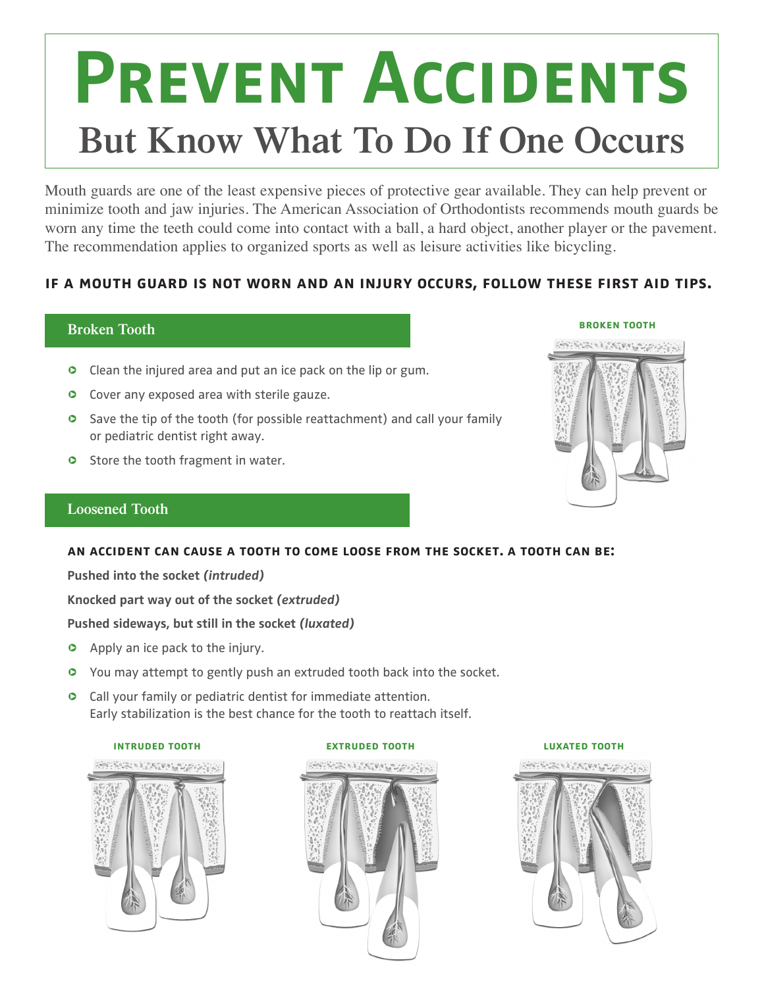# **Prevent Accidents But Know What To Do If One Occurs**

Mouth guards are one of the least expensive pieces of protective gear available. They can help prevent or minimize tooth and jaw injuries. The American Association of Orthodontists recommends mouth guards be worn any time the teeth could come into contact with a ball, a hard object, another player or the pavement. The recommendation applies to organized sports as well as leisure activities like bicycling.

# **if a mouth guard is not worn and an injury occurs, follow these first aid tips.**

# **Broken Tooth**

- **O** Clean the injured area and put an ice pack on the lip or gum.
- **O** Cover any exposed area with sterile gauze.
- **C** Save the tip of the tooth (for possible reattachment) and call your family or pediatric dentist right away.
- **o** Store the tooth fragment in water.

# **Loosened Tooth**

### **an accident can cause a tooth to come loose from the socket. a tooth can be:**

**Pushed into the socket** *(intruded)*

**Knocked part way out of the socket** *(extruded)*

### **Pushed sideways, but still in the socket** *(luxated)*

- **o** Apply an ice pack to the injury.
- **O** You may attempt to gently push an extruded tooth back into the socket.
- **o** Call your family or pediatric dentist for immediate attention. Early stabilization is the best chance for the tooth to reattach itself.



## **intruded tooth extruded tooth luxated tooth**SHEET MATHERSHAP